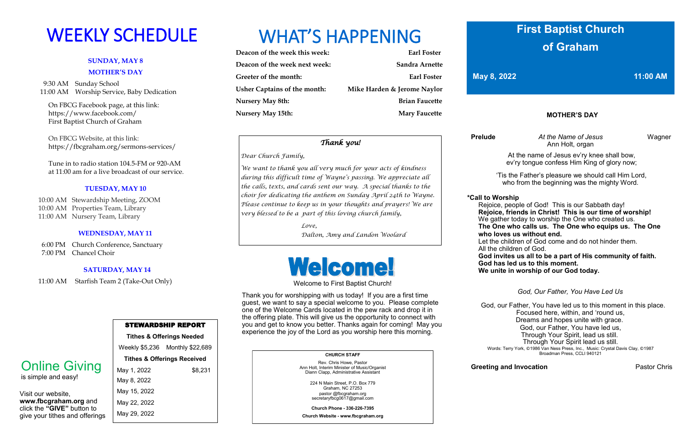## **SUNDAY, MAY 8 MOTHER'S DAY**

 9:30 AM Sunday School 11:00 AM Worship Service, Baby Dedication

 On FBCG Facebook page, at this link: [https://www.facebook.com/](https://www.facebook.com/First%20Baptist%20Church%20of%20Graham)  [First Baptist Church of Graham](https://www.facebook.com/First%20Baptist%20Church%20of%20Graham)

 On FBCG Website, at this link: <https://fbcgraham.org/sermons-services/>

 Tune in to radio station 104.5-FM or 920-AM at 11:00 am for a live broadcast of our service.

## **TUESDAY, MAY 10**

 10:00 AM Stewardship Meeting, ZOOM 10:00 AM Properties Team, Library 11:00 AM Nursery Team, Library

## **WEDNESDAY, MAY 11**

 6:00 PM Church Conference, Sanctuary 7:00 PM Chancel Choir

## **SATURDAY, MAY 14**

11:00 AM Starfish Team 2 (Take-Out Only)

| Deacon of the week this week:       | <b>Earl Foster</b>          |
|-------------------------------------|-----------------------------|
| Deacon of the week next week:       | Sandra Arnette              |
| Greeter of the month:               | Earl Foster                 |
| <b>Usher Captains of the month:</b> | Mike Harden & Jerome Naylor |
| <b>Nursery May 8th:</b>             | <b>Brian Faucette</b>       |
| <b>Nursery May 15th:</b>            | <b>Mary Faucette</b>        |

|                                                                           | <b>STEWARDSHIP REPORT</b>              |                                 |  |  |
|---------------------------------------------------------------------------|----------------------------------------|---------------------------------|--|--|
|                                                                           | <b>Tithes &amp; Offerings Needed</b>   |                                 |  |  |
|                                                                           |                                        | Weekly \$5,236 Monthly \$22,689 |  |  |
| <b>Online Giving</b><br>is simple and easy!                               | <b>Tithes &amp; Offerings Received</b> |                                 |  |  |
|                                                                           | May 1, 2022                            | \$8,231                         |  |  |
|                                                                           | May 8, 2022                            |                                 |  |  |
| Visit our website,<br>www.fbcgraham.org and<br>click the "GIVE" button to | May 15, 2022                           |                                 |  |  |
|                                                                           | May 22, 2022                           |                                 |  |  |

May 29, 2022

# WEEKLY SCHEDULE WHAT'S HAPPENING

give your tithes and offerings

## **CHURCH STAFF**

Rev. Chris Howe, Pastor Ann Holt, Interim Minister of Music/Organist Diann Clapp, Administrative Assistant

> 224 N Main Street, P.O. Box 779 Graham, NC 27253 pastor @fbcgraham.org secretaryfbcg0617@gmail.com

**Church Phone - 336-226-7395**

**Church Website - www.fbcgraham.org**

## **MOTHER'S DAY**

 **Prelude** *At the Name of Jesus* Wagner Ann Holt, organ

At the name of Jesus ev'ry knee shall bow, ev'ry tongue confess Him King of glory now;

'Tis the Father's pleasure we should call Him Lord, who from the beginning was the mighty Word.

**\*Call to Worship** 

Rejoice, people of God! This is our Sabbath day!  **Rejoice, friends in Christ! This is our time of worship!** We gather today to worship the One who created us.  **The One who calls us. The One who equips us. The One** 

 **who loves us without end.**

 Let the children of God come and do not hinder them. All the children of God.

 **God invites us all to be a part of His community of faith. God has led us to this moment. We unite in worship of our God today.** 

*God, Our Father, You Have Led Us*

**Greeting and Invocation Pastor Chris** 

 God, our Father, You have led us to this moment in this place. Focused here, within, and 'round us, Dreams and hopes unite with grace. God, our Father, You have led us, Through Your Spirit, lead us still. Through Your Spirit lead us still. Words: Terry York, ©1986 Van Ness Press, Inc., Music: Crystal Davis Clay, ©1987 Broadman Press, CCLI 940121

Welcome to First Baptist Church!

Thank you for worshipping with us today! If you are a first time guest, we want to say a special welcome to you. Please complete one of the Welcome Cards located in the pew rack and drop it in the offering plate. This will give us the opportunity to connect with you and get to know you better. Thanks again for coming! May you experience the joy of the Lord as you worship here this morning.

## **First Baptist Church of Graham**

**May 8, 2022 11:00 AM** 

## *Thank you!*

## *Dear Church Family,*

*We want to thank you all very much for your acts of kindness during this difficult time of Wayne's passing. We appreciate all the calls, texts, and cards sent our way. A special thanks to the choir for dedicating the anthem on Sunday April 24th to Wayne. Please continue to keep us in your thoughts and prayers! We are very blessed to be a part of this loving church family,*

> *Love, Dalton, Amy and Landon Woolard*